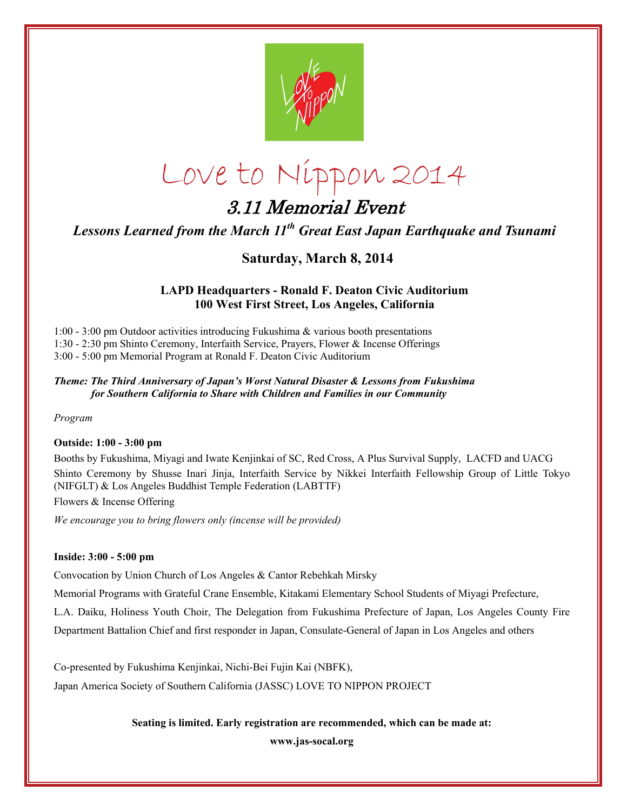

# Love to Nippon 2014

## 3.11 Memorial Event

*Lessons Learned from the March 11th Great East Japan Earthquake and Tsunami* 

### **Saturday, March 8, 2014**

#### **LAPD Headquarters - Ronald F. Deaton Civic Auditorium 100 West First Street, Los Angeles, California**

1:00 - 3:00 pm Outdoor activities introducing Fukushima & various booth presentations 1:30 - 2:30 pm Shinto Ceremony, Interfaith Service, Prayers, Flower & Incense Offerings 3:00 - 5:00 pm Memorial Program at Ronald F. Deaton Civic Auditorium

#### *Theme: The Third Anniversary of Japan's Worst Natural Disaster & Lessons from Fukushima for Southern California to Share with Children and Families in our Community*

*Program* 

#### **Outside: 1:00 - 3:00 pm**

Booths by Fukushima, Miyagi and Iwate Kenjinkai of SC, Red Cross, A Plus Survival Supply, LACFD and UACG Shinto Ceremony by Shusse Inari Jinja, Interfaith Service by Nikkei Interfaith Fellowship Group of Little Tokyo (NIFGLT) & Los Angeles Buddhist Temple Federation (LABTTF)

Flowers & Incense Offering

*We encourage you to bring flowers only (incense will be provided)* 

#### **Inside: 3:00 - 5:00 pm**

Convocation by Union Church of Los Angeles & Cantor Rebehkah Mirsky

Memorial Programs with Grateful Crane Ensemble, Kitakami Elementary School Students of Miyagi Prefecture,

L.A. Daiku, Holiness Youth Choir, The Delegation from Fukushima Prefecture of Japan, Los Angeles County Fire

Department Battalion Chief and first responder in Japan, Consulate-General of Japan in Los Angeles and others

Co-presented by Fukushima Kenjinkai, Nichi-Bei Fujin Kai (NBFK),

Japan America Society of Southern California (JASSC) LOVE TO NIPPON PROJECT

#### **Seating is limited. Early registration are recommended, which can be made at:**

**www.jas-socal.org**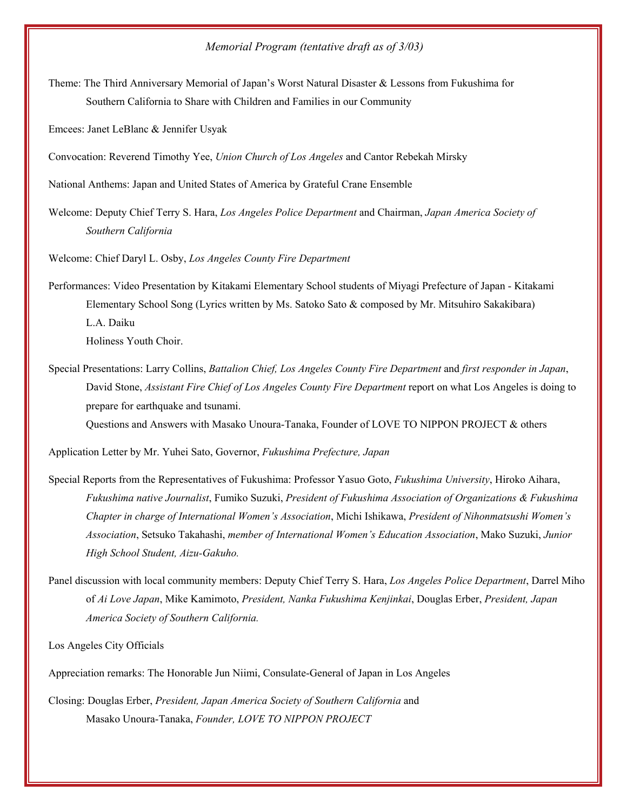#### *Memorial Program (tentative draft as of 3/03)*

Theme: The Third Anniversary Memorial of Japan's Worst Natural Disaster & Lessons from Fukushima for Southern California to Share with Children and Families in our Community

Emcees: Janet LeBlanc & Jennifer Usyak

Convocation: Reverend Timothy Yee, *Union Church of Los Angeles* and Cantor Rebekah Mirsky

National Anthems: Japan and United States of America by Grateful Crane Ensemble

Welcome: Deputy Chief Terry S. Hara, *Los Angeles Police Department* and Chairman, *Japan America Society of Southern California* 

Welcome: Chief Daryl L. Osby, *Los Angeles County Fire Department*

Performances: Video Presentation by Kitakami Elementary School students of Miyagi Prefecture of Japan - Kitakami Elementary School Song (Lyrics written by Ms. Satoko Sato & composed by Mr. Mitsuhiro Sakakibara) L.A. Daiku Holiness Youth Choir.

Special Presentations: Larry Collins, *Battalion Chief, Los Angeles County Fire Department* and *first responder in Japan*, David Stone, *Assistant Fire Chief of Los Angeles County Fire Department* report on what Los Angeles is doing to prepare for earthquake and tsunami. Questions and Answers with Masako Unoura-Tanaka, Founder of LOVE TO NIPPON PROJECT & others

Application Letter by Mr. Yuhei Sato, Governor, *Fukushima Prefecture, Japan* 

- Special Reports from the Representatives of Fukushima: Professor Yasuo Goto, *Fukushima University*, Hiroko Aihara, *Fukushima native Journalist*, Fumiko Suzuki, *President of Fukushima Association of Organizations & Fukushima Chapter in charge of International Women's Association*, Michi Ishikawa, *President of Nihonmatsushi Women's Association*, Setsuko Takahashi, *member of International Women's Education Association*, Mako Suzuki, *Junior High School Student, Aizu-Gakuho.*
- Panel discussion with local community members: Deputy Chief Terry S. Hara, *Los Angeles Police Department*, Darrel Miho of *Ai Love Japan*, Mike Kamimoto, *President, Nanka Fukushima Kenjinkai*, Douglas Erber, *President, Japan America Society of Southern California.*

Los Angeles City Officials

Appreciation remarks: The Honorable Jun Niimi, Consulate-General of Japan in Los Angeles

Closing: Douglas Erber, *President, Japan America Society of Southern California* and Masako Unoura-Tanaka, *Founder, LOVE TO NIPPON PROJECT*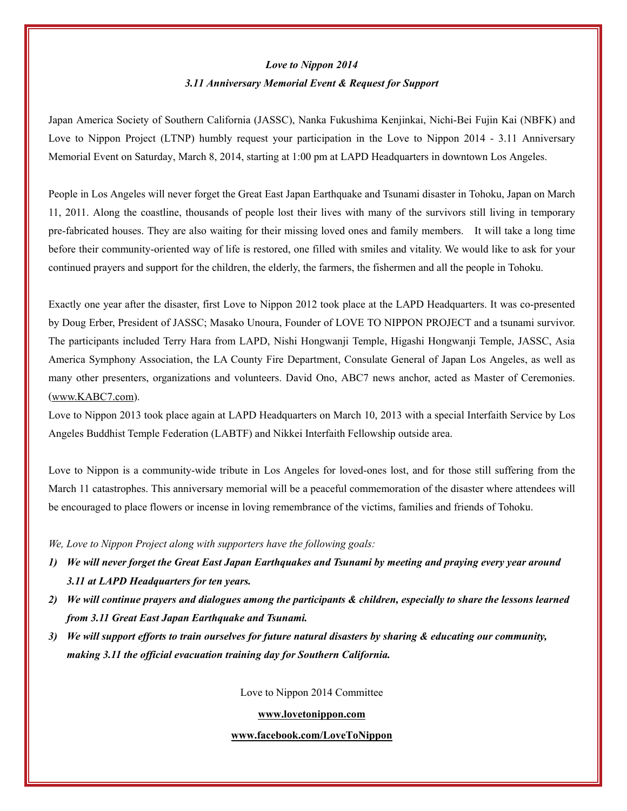#### *Love to Nippon 2014*

#### *3.11 Anniversary Memorial Event & Request for Support*

Japan America Society of Southern California (JASSC), Nanka Fukushima Kenjinkai, Nichi-Bei Fujin Kai (NBFK) and Love to Nippon Project (LTNP) humbly request your participation in the Love to Nippon 2014 - 3.11 Anniversary Memorial Event on Saturday, March 8, 2014, starting at 1:00 pm at LAPD Headquarters in downtown Los Angeles.

People in Los Angeles will never forget the Great East Japan Earthquake and Tsunami disaster in Tohoku, Japan on March 11, 2011. Along the coastline, thousands of people lost their lives with many of the survivors still living in temporary pre-fabricated houses. They are also waiting for their missing loved ones and family members. It will take a long time before their community-oriented way of life is restored, one filled with smiles and vitality. We would like to ask for your continued prayers and support for the children, the elderly, the farmers, the fishermen and all the people in Tohoku.

Exactly one year after the disaster, first Love to Nippon 2012 took place at the LAPD Headquarters. It was co-presented by Doug Erber, President of JASSC; Masako Unoura, Founder of LOVE TO NIPPON PROJECT and a tsunami survivor. The participants included Terry Hara from LAPD, Nishi Hongwanji Temple, Higashi Hongwanji Temple, JASSC, Asia America Symphony Association, the LA County Fire Department, Consulate General of Japan Los Angeles, as well as many other presenters, organizations and volunteers. David Ono, ABC7 news anchor, acted as Master of Ceremonies. ([www.KABC7.com\)](http://www.kabc7.com/).

Love to Nippon 2013 took place again at LAPD Headquarters on March 10, 2013 with a special Interfaith Service by Los Angeles Buddhist Temple Federation (LABTF) and Nikkei Interfaith Fellowship outside area.

Love to Nippon is a community-wide tribute in Los Angeles for loved-ones lost, and for those still suffering from the March 11 catastrophes. This anniversary memorial will be a peaceful commemoration of the disaster where attendees will be encouraged to place flowers or incense in loving remembrance of the victims, families and friends of Tohoku.

*We, Love to Nippon Project along with supporters have the following goals:* 

- *1) We will never forget the Great East Japan Earthquakes and Tsunami by meeting and praying every year around 3.11 at LAPD Headquarters for ten years.*
- *2) We will continue prayers and dialogues among the participants & children, especially to share the lessons learned from 3.11 Great East Japan Earthquake and Tsunami.*
- *3) We will support efforts to train ourselves for future natural disasters by sharing & educating our community, making 3.11 the official evacuation training day for Southern California.*

Love to Nippon 2014 Committee

**[www.lovetonippon.com](http://www.lovetonippon.com/)**

**[www.facebook.com/LoveToNippon](http://www.facebook.com/LoveToNippon)**